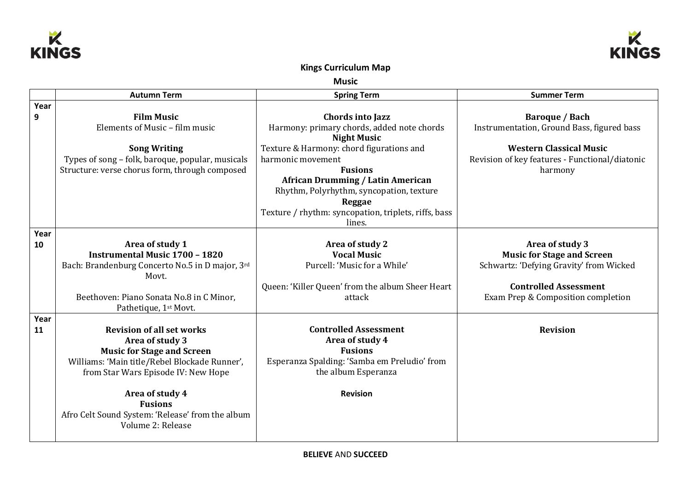



## **Kings Curriculum Map**

**Music**

|      | <b>Autumn Term</b>                                                                                 | <b>Spring Term</b>                                   | <b>Summer Term</b>                             |
|------|----------------------------------------------------------------------------------------------------|------------------------------------------------------|------------------------------------------------|
| Year |                                                                                                    |                                                      |                                                |
| 9    | <b>Film Music</b>                                                                                  | Chords into Jazz                                     | <b>Baroque / Bach</b>                          |
|      | Elements of Music - film music                                                                     | Harmony: primary chords, added note chords           | Instrumentation, Ground Bass, figured bass     |
|      |                                                                                                    | <b>Night Music</b>                                   |                                                |
|      | <b>Song Writing</b>                                                                                | Texture & Harmony: chord figurations and             | <b>Western Classical Music</b>                 |
|      | Types of song - folk, baroque, popular, musicals<br>Structure: verse chorus form, through composed | harmonic movement<br><b>Fusions</b>                  | Revision of key features - Functional/diatonic |
|      |                                                                                                    | <b>African Drumming / Latin American</b>             | harmony                                        |
|      |                                                                                                    | Rhythm, Polyrhythm, syncopation, texture             |                                                |
|      |                                                                                                    | Reggae                                               |                                                |
|      |                                                                                                    | Texture / rhythm: syncopation, triplets, riffs, bass |                                                |
|      |                                                                                                    | lines.                                               |                                                |
| Year |                                                                                                    |                                                      |                                                |
| 10   | Area of study 1                                                                                    | Area of study 2                                      | Area of study 3                                |
|      | <b>Instrumental Music 1700 - 1820</b>                                                              | <b>Vocal Music</b>                                   | <b>Music for Stage and Screen</b>              |
|      | Bach: Brandenburg Concerto No.5 in D major, 3rd                                                    | Purcell: 'Music for a While'                         | Schwartz: 'Defying Gravity' from Wicked        |
|      | Movt.                                                                                              | Queen: 'Killer Queen' from the album Sheer Heart     | <b>Controlled Assessment</b>                   |
|      | Beethoven: Piano Sonata No.8 in C Minor,                                                           | attack                                               | Exam Prep & Composition completion             |
|      | Pathetique, 1st Movt.                                                                              |                                                      |                                                |
| Year |                                                                                                    |                                                      |                                                |
| 11   | <b>Revision of all set works</b>                                                                   | <b>Controlled Assessment</b>                         | <b>Revision</b>                                |
|      | Area of study 3                                                                                    | Area of study 4                                      |                                                |
|      | <b>Music for Stage and Screen</b>                                                                  | <b>Fusions</b>                                       |                                                |
|      | Williams: 'Main title/Rebel Blockade Runner',                                                      | Esperanza Spalding: 'Samba em Preludio' from         |                                                |
|      | from Star Wars Episode IV: New Hope                                                                | the album Esperanza                                  |                                                |
|      | Area of study 4                                                                                    | <b>Revision</b>                                      |                                                |
|      | <b>Fusions</b>                                                                                     |                                                      |                                                |
|      | Afro Celt Sound System: 'Release' from the album                                                   |                                                      |                                                |
|      | Volume 2: Release                                                                                  |                                                      |                                                |
|      |                                                                                                    |                                                      |                                                |